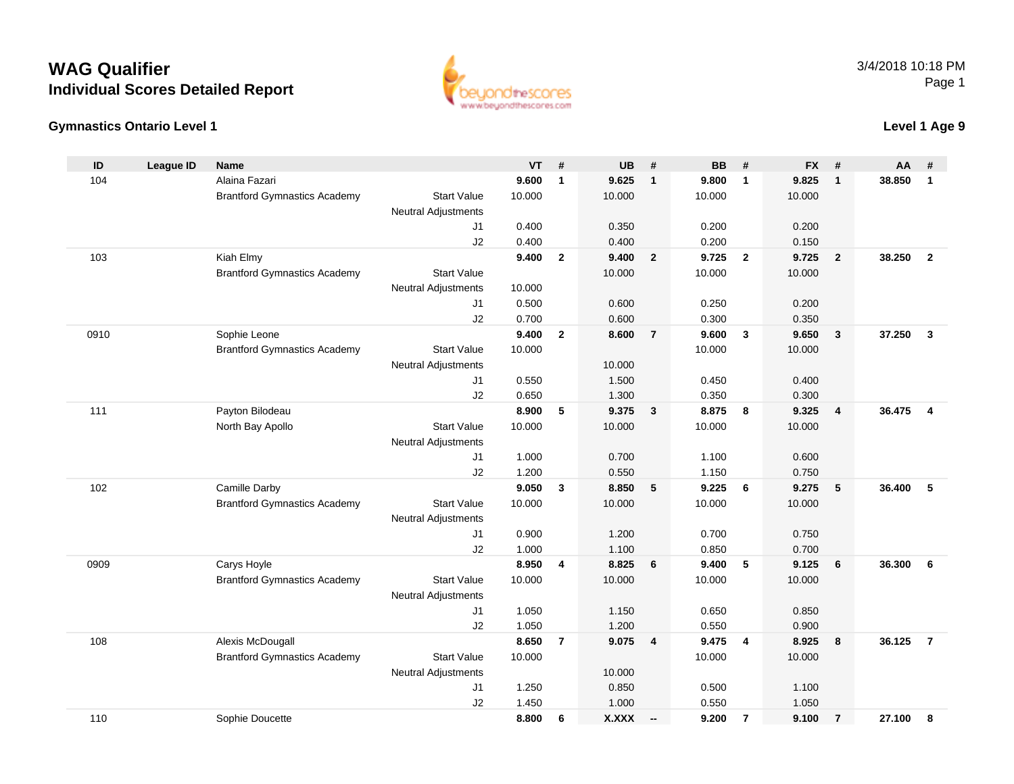# **WAG QualifierIndividual Scores Detailed Report**

#### **Gymnastics Ontario Level 1**



### **Level 1 Age 9**

| ID   | <b>League ID</b> | <b>Name</b>                         |                                              | <b>VT</b> | #              | <b>UB</b>       | #                        | <b>BB</b> | #              | <b>FX</b> | #                       | AA     | #              |
|------|------------------|-------------------------------------|----------------------------------------------|-----------|----------------|-----------------|--------------------------|-----------|----------------|-----------|-------------------------|--------|----------------|
| 104  |                  | Alaina Fazari                       |                                              | 9.600     | $\mathbf{1}$   | 9.625           | $\overline{\mathbf{1}}$  | 9.800     | $\overline{1}$ | 9.825     | $\mathbf{1}$            | 38.850 | $\mathbf{1}$   |
|      |                  | <b>Brantford Gymnastics Academy</b> | <b>Start Value</b>                           | 10.000    |                | 10.000          |                          | 10.000    |                | 10.000    |                         |        |                |
|      |                  |                                     | <b>Neutral Adjustments</b>                   |           |                |                 |                          |           |                |           |                         |        |                |
|      |                  |                                     | J1                                           | 0.400     |                | 0.350           |                          | 0.200     |                | 0.200     |                         |        |                |
|      |                  |                                     | J2                                           | 0.400     |                | 0.400           |                          | 0.200     |                | 0.150     |                         |        |                |
| 103  |                  | Kiah Elmy                           |                                              | 9.400     | $\overline{2}$ | 9.400           | $\overline{2}$           | 9.725     | $\overline{2}$ | 9.725     | $\overline{2}$          | 38.250 | $\overline{2}$ |
|      |                  | <b>Brantford Gymnastics Academy</b> | <b>Start Value</b>                           |           |                | 10.000          |                          | 10.000    |                | 10.000    |                         |        |                |
|      |                  |                                     | <b>Neutral Adjustments</b>                   | 10.000    |                |                 |                          |           |                |           |                         |        |                |
|      |                  |                                     | J1                                           | 0.500     |                | 0.600           |                          | 0.250     |                | 0.200     |                         |        |                |
|      |                  |                                     | J2                                           | 0.700     |                | 0.600           |                          | 0.300     |                | 0.350     |                         |        |                |
| 0910 |                  | Sophie Leone                        |                                              | 9.400     | $\mathbf{2}$   | 8.600           | $\overline{7}$           | 9.600     | $\mathbf{3}$   | 9.650     | $\overline{\mathbf{3}}$ | 37.250 | $\mathbf{3}$   |
|      |                  | <b>Brantford Gymnastics Academy</b> | <b>Start Value</b>                           | 10.000    |                |                 |                          | 10.000    |                | 10.000    |                         |        |                |
|      |                  |                                     | Neutral Adjustments                          |           |                | 10.000          |                          |           |                |           |                         |        |                |
|      |                  |                                     | J <sub>1</sub>                               | 0.550     |                | 1.500           |                          | 0.450     |                | 0.400     |                         |        |                |
|      |                  |                                     | J2                                           | 0.650     |                | 1.300           |                          | 0.350     |                | 0.300     |                         |        |                |
| 111  |                  | Payton Bilodeau                     |                                              | 8.900     | 5              | 9.375           | $\mathbf{3}$             | 8.875     | 8              | 9.325     | $\overline{4}$          | 36.475 | 4              |
|      |                  | North Bay Apollo                    | <b>Start Value</b>                           | 10.000    |                | 10.000          |                          | 10.000    |                | 10.000    |                         |        |                |
|      |                  |                                     | Neutral Adjustments                          |           |                |                 |                          |           |                |           |                         |        |                |
|      |                  |                                     | J <sub>1</sub>                               | 1.000     |                | 0.700           |                          | 1.100     |                | 0.600     |                         |        |                |
|      |                  |                                     | J2                                           | 1.200     |                | 0.550           |                          | 1.150     |                | 0.750     |                         |        |                |
| 102  |                  | Camille Darby                       |                                              | 9.050     | $\mathbf{3}$   | 8.850           | 5                        | 9.225     | 6              | 9.275     | 5                       | 36,400 | 5              |
|      |                  | <b>Brantford Gymnastics Academy</b> | <b>Start Value</b>                           | 10.000    |                | 10.000          |                          | 10.000    |                | 10.000    |                         |        |                |
|      |                  |                                     | <b>Neutral Adjustments</b>                   |           |                |                 |                          |           |                |           |                         |        |                |
|      |                  |                                     | J1                                           | 0.900     |                | 1.200           |                          | 0.700     |                | 0.750     |                         |        |                |
|      |                  |                                     | J2                                           | 1.000     |                | 1.100           |                          | 0.850     |                | 0.700     |                         |        |                |
| 0909 |                  | Carys Hoyle                         |                                              | 8.950     | 4              | 8.825           | 6                        | 9.400     | 5              | 9.125     | 6                       | 36.300 | 6              |
|      |                  | <b>Brantford Gymnastics Academy</b> | <b>Start Value</b>                           | 10.000    |                | 10.000          |                          | 10.000    |                | 10.000    |                         |        |                |
|      |                  |                                     | Neutral Adjustments                          |           |                |                 |                          |           |                |           |                         |        |                |
|      |                  |                                     | J <sub>1</sub>                               | 1.050     |                | 1.150           |                          | 0.650     |                | 0.850     |                         |        |                |
|      |                  |                                     | J2                                           | 1.050     |                | 1.200           |                          | 0.550     |                | 0.900     |                         |        |                |
| 108  |                  | Alexis McDougall                    |                                              | 8.650     | $\overline{7}$ | 9.075           | $\overline{\mathbf{4}}$  | 9.475     | $\overline{4}$ | 8.925     | 8                       | 36.125 | $\overline{7}$ |
|      |                  | <b>Brantford Gymnastics Academy</b> | <b>Start Value</b>                           | 10.000    |                |                 |                          | 10.000    |                | 10.000    |                         |        |                |
|      |                  |                                     | <b>Neutral Adjustments</b><br>J <sub>1</sub> | 1.250     |                | 10.000<br>0.850 |                          | 0.500     |                | 1.100     |                         |        |                |
|      |                  |                                     | J2                                           | 1.450     |                | 1.000           |                          | 0.550     |                | 1.050     |                         |        |                |
| 110  |                  | Sophie Doucette                     |                                              | 8.800     | 6              | X.XXX           |                          | 9.200     | $\overline{7}$ | 9.100     | $\overline{7}$          | 27.100 | 8              |
|      |                  |                                     |                                              |           |                |                 | $\overline{\phantom{a}}$ |           |                |           |                         |        |                |